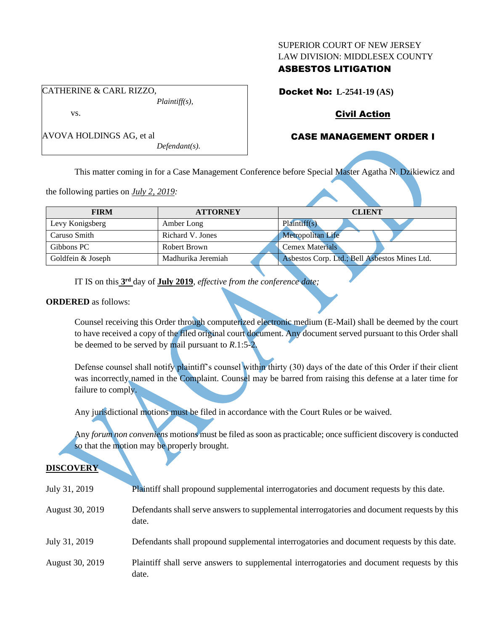#### SUPERIOR COURT OF NEW JERSEY LAW DIVISION: MIDDLESEX COUNTY

## ASBESTOS LITIGATION

Docket No: **L-2541-19 (AS)**

# Civil Action

# CASE MANAGEMENT ORDER I

This matter coming in for a Case Management Conference before Special Master Agatha N. Dzikiewicz and

the following parties on *July 2, 2019:*

CATHERINE & CARL RIZZO,

AVOVA HOLDINGS AG, et al

vs.

| <b>FIRM</b>       | <b>ATTORNEY</b>    | <b>CLIENT</b>                                 |
|-------------------|--------------------|-----------------------------------------------|
| Levy Konigsberg   | Amber Long         | Plaintiff(s)                                  |
| Caruso Smith      | Richard V. Jones   | <b>Metropolitan Life</b>                      |
| Gibbons PC        | Robert Brown       | <b>Cemex Materials</b>                        |
| Goldfein & Joseph | Madhurika Jeremiah | Asbestos Corp. Ltd.; Bell Asbestos Mines Ltd. |

IT IS on this **3 rd** day of **July 2019**, *effective from the conference date;*

*Plaintiff(s),*

*Defendant(s).*

#### **ORDERED** as follows:

Counsel receiving this Order through computerized electronic medium (E-Mail) shall be deemed by the court to have received a copy of the filed original court document. Any document served pursuant to this Order shall be deemed to be served by mail pursuant to *R*.1:5-2.

Defense counsel shall notify plaintiff's counsel within thirty (30) days of the date of this Order if their client was incorrectly named in the Complaint. Counsel may be barred from raising this defense at a later time for failure to comply.

Any jurisdictional motions must be filed in accordance with the Court Rules or be waived.

Any *forum non conveniens* motions must be filed as soon as practicable; once sufficient discovery is conducted so that the motion may be properly brought.

### **DISCOVERY**

| July 31, 2019   | Plaintiff shall propound supplemental interrogatories and document requests by this date.             |
|-----------------|-------------------------------------------------------------------------------------------------------|
| August 30, 2019 | Defendants shall serve answers to supplemental interrogatories and document requests by this<br>date. |
| July 31, 2019   | Defendants shall propound supplemental interrogatories and document requests by this date.            |
| August 30, 2019 | Plaintiff shall serve answers to supplemental interrogatories and document requests by this<br>date.  |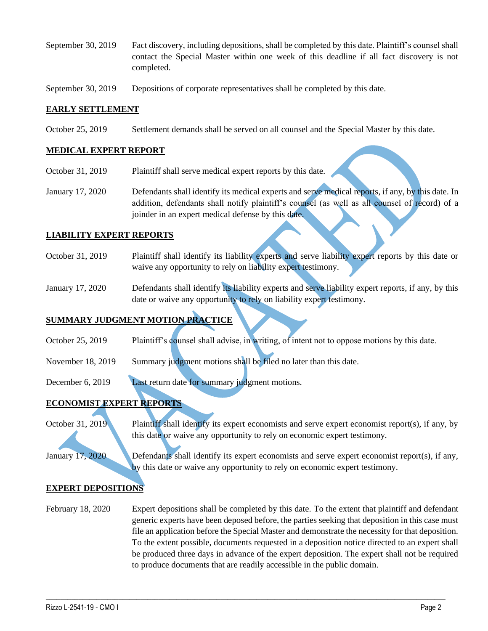September 30, 2019 Fact discovery, including depositions, shall be completed by this date. Plaintiff's counsel shall contact the Special Master within one week of this deadline if all fact discovery is not completed.

September 30, 2019 Depositions of corporate representatives shall be completed by this date.

### **EARLY SETTLEMENT**

October 25, 2019 Settlement demands shall be served on all counsel and the Special Master by this date.

#### **MEDICAL EXPERT REPORT**

- October 31, 2019 Plaintiff shall serve medical expert reports by this date.
- January 17, 2020 Defendants shall identify its medical experts and serve medical reports, if any, by this date. In addition, defendants shall notify plaintiff's counsel (as well as all counsel of record) of a joinder in an expert medical defense by this date.

### **LIABILITY EXPERT REPORTS**

- October 31, 2019 Plaintiff shall identify its liability experts and serve liability expert reports by this date or waive any opportunity to rely on liability expert testimony.
- January 17, 2020 Defendants shall identify its liability experts and serve liability expert reports, if any, by this date or waive any opportunity to rely on liability expert testimony.

# **SUMMARY JUDGMENT MOTION PRACTICE**

- October 25, 2019 Plaintiff's counsel shall advise, in writing, of intent not to oppose motions by this date.
- November 18, 2019 Summary judgment motions shall be filed no later than this date.
- December 6, 2019 Last return date for summary judgment motions.

## **ECONOMIST EXPERT REPORTS**

October 31, 2019 Plaintiff shall identify its expert economists and serve expert economist report(s), if any, by this date or waive any opportunity to rely on economic expert testimony.

January 17, 2020 Defendants shall identify its expert economists and serve expert economist report(s), if any, by this date or waive any opportunity to rely on economic expert testimony.

### **EXPERT DEPOSITIONS**

February 18, 2020 Expert depositions shall be completed by this date. To the extent that plaintiff and defendant generic experts have been deposed before, the parties seeking that deposition in this case must file an application before the Special Master and demonstrate the necessity for that deposition. To the extent possible, documents requested in a deposition notice directed to an expert shall be produced three days in advance of the expert deposition. The expert shall not be required to produce documents that are readily accessible in the public domain.

 $\_$  , and the set of the set of the set of the set of the set of the set of the set of the set of the set of the set of the set of the set of the set of the set of the set of the set of the set of the set of the set of th